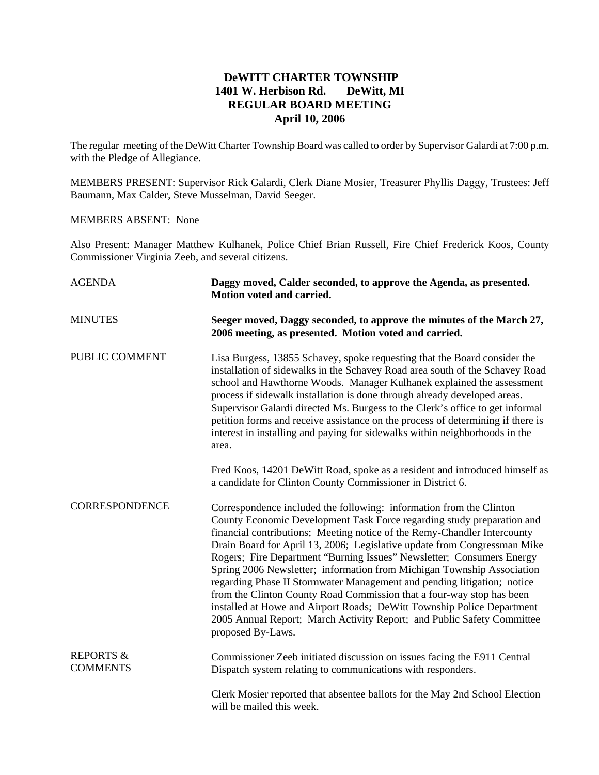## **DeWITT CHARTER TOWNSHIP 1401 W. Herbison Rd. DeWitt, MI REGULAR BOARD MEETING April 10, 2006**

The regular meeting of the DeWitt Charter Township Board was called to order by Supervisor Galardi at 7:00 p.m. with the Pledge of Allegiance.

MEMBERS PRESENT: Supervisor Rick Galardi, Clerk Diane Mosier, Treasurer Phyllis Daggy, Trustees: Jeff Baumann, Max Calder, Steve Musselman, David Seeger.

## MEMBERS ABSENT: None

Also Present: Manager Matthew Kulhanek, Police Chief Brian Russell, Fire Chief Frederick Koos, County Commissioner Virginia Zeeb, and several citizens.

| <b>AGENDA</b>                           | Daggy moved, Calder seconded, to approve the Agenda, as presented.<br>Motion voted and carried.                                                                                                                                                                                                                                                                                                                                                                                                                                                                                                                                                                                                                                                                                       |
|-----------------------------------------|---------------------------------------------------------------------------------------------------------------------------------------------------------------------------------------------------------------------------------------------------------------------------------------------------------------------------------------------------------------------------------------------------------------------------------------------------------------------------------------------------------------------------------------------------------------------------------------------------------------------------------------------------------------------------------------------------------------------------------------------------------------------------------------|
| <b>MINUTES</b>                          | Seeger moved, Daggy seconded, to approve the minutes of the March 27,<br>2006 meeting, as presented. Motion voted and carried.                                                                                                                                                                                                                                                                                                                                                                                                                                                                                                                                                                                                                                                        |
| PUBLIC COMMENT                          | Lisa Burgess, 13855 Schavey, spoke requesting that the Board consider the<br>installation of sidewalks in the Schavey Road area south of the Schavey Road<br>school and Hawthorne Woods. Manager Kulhanek explained the assessment<br>process if sidewalk installation is done through already developed areas.<br>Supervisor Galardi directed Ms. Burgess to the Clerk's office to get informal<br>petition forms and receive assistance on the process of determining if there is<br>interest in installing and paying for sidewalks within neighborhoods in the<br>area.                                                                                                                                                                                                           |
|                                         | Fred Koos, 14201 DeWitt Road, spoke as a resident and introduced himself as<br>a candidate for Clinton County Commissioner in District 6.                                                                                                                                                                                                                                                                                                                                                                                                                                                                                                                                                                                                                                             |
| <b>CORRESPONDENCE</b>                   | Correspondence included the following: information from the Clinton<br>County Economic Development Task Force regarding study preparation and<br>financial contributions; Meeting notice of the Remy-Chandler Intercounty<br>Drain Board for April 13, 2006; Legislative update from Congressman Mike<br>Rogers; Fire Department "Burning Issues" Newsletter; Consumers Energy<br>Spring 2006 Newsletter; information from Michigan Township Association<br>regarding Phase II Stormwater Management and pending litigation; notice<br>from the Clinton County Road Commission that a four-way stop has been<br>installed at Howe and Airport Roads; DeWitt Township Police Department<br>2005 Annual Report; March Activity Report; and Public Safety Committee<br>proposed By-Laws. |
| <b>REPORTS &amp;</b><br><b>COMMENTS</b> | Commissioner Zeeb initiated discussion on issues facing the E911 Central<br>Dispatch system relating to communications with responders.                                                                                                                                                                                                                                                                                                                                                                                                                                                                                                                                                                                                                                               |
|                                         | Clerk Mosier reported that absentee ballots for the May 2nd School Election<br>will be mailed this week.                                                                                                                                                                                                                                                                                                                                                                                                                                                                                                                                                                                                                                                                              |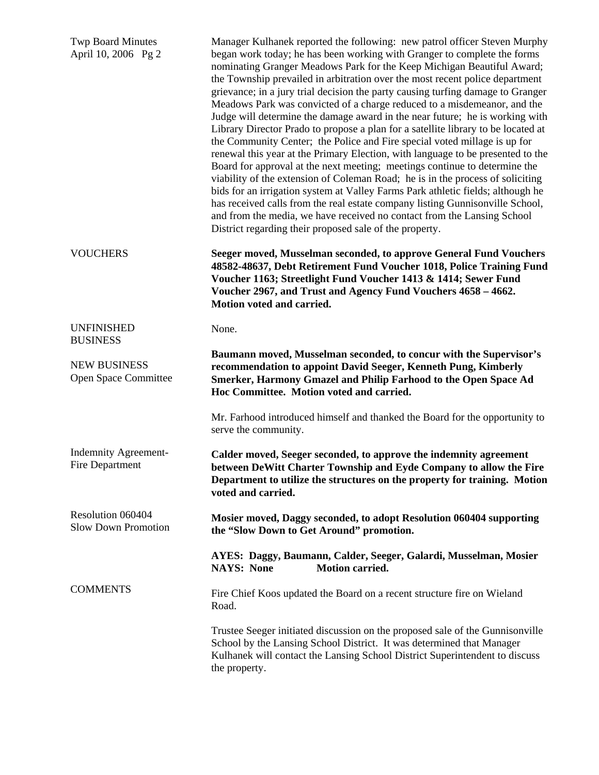| <b>Twp Board Minutes</b><br>April 10, 2006 Pg 2 | Manager Kulhanek reported the following: new patrol officer Steven Murphy<br>began work today; he has been working with Granger to complete the forms<br>nominating Granger Meadows Park for the Keep Michigan Beautiful Award;<br>the Township prevailed in arbitration over the most recent police department<br>grievance; in a jury trial decision the party causing turfing damage to Granger<br>Meadows Park was convicted of a charge reduced to a misdemeanor, and the<br>Judge will determine the damage award in the near future; he is working with<br>Library Director Prado to propose a plan for a satellite library to be located at<br>the Community Center; the Police and Fire special voted millage is up for<br>renewal this year at the Primary Election, with language to be presented to the<br>Board for approval at the next meeting; meetings continue to determine the<br>viability of the extension of Coleman Road; he is in the process of soliciting<br>bids for an irrigation system at Valley Farms Park athletic fields; although he<br>has received calls from the real estate company listing Gunnisonville School,<br>and from the media, we have received no contact from the Lansing School<br>District regarding their proposed sale of the property. |
|-------------------------------------------------|-----------------------------------------------------------------------------------------------------------------------------------------------------------------------------------------------------------------------------------------------------------------------------------------------------------------------------------------------------------------------------------------------------------------------------------------------------------------------------------------------------------------------------------------------------------------------------------------------------------------------------------------------------------------------------------------------------------------------------------------------------------------------------------------------------------------------------------------------------------------------------------------------------------------------------------------------------------------------------------------------------------------------------------------------------------------------------------------------------------------------------------------------------------------------------------------------------------------------------------------------------------------------------------------------|
| <b>VOUCHERS</b>                                 | Seeger moved, Musselman seconded, to approve General Fund Vouchers<br>48582-48637, Debt Retirement Fund Voucher 1018, Police Training Fund<br>Voucher 1163; Streetlight Fund Voucher 1413 & 1414; Sewer Fund<br>Voucher 2967, and Trust and Agency Fund Vouchers 4658 - 4662.<br>Motion voted and carried.                                                                                                                                                                                                                                                                                                                                                                                                                                                                                                                                                                                                                                                                                                                                                                                                                                                                                                                                                                                    |
| <b>UNFINISHED</b><br><b>BUSINESS</b>            | None.                                                                                                                                                                                                                                                                                                                                                                                                                                                                                                                                                                                                                                                                                                                                                                                                                                                                                                                                                                                                                                                                                                                                                                                                                                                                                         |
| <b>NEW BUSINESS</b><br>Open Space Committee     | Baumann moved, Musselman seconded, to concur with the Supervisor's<br>recommendation to appoint David Seeger, Kenneth Pung, Kimberly<br>Smerker, Harmony Gmazel and Philip Farhood to the Open Space Ad<br>Hoc Committee. Motion voted and carried.                                                                                                                                                                                                                                                                                                                                                                                                                                                                                                                                                                                                                                                                                                                                                                                                                                                                                                                                                                                                                                           |
|                                                 | Mr. Farhood introduced himself and thanked the Board for the opportunity to<br>serve the community.                                                                                                                                                                                                                                                                                                                                                                                                                                                                                                                                                                                                                                                                                                                                                                                                                                                                                                                                                                                                                                                                                                                                                                                           |
| <b>Indemnity Agreement-</b><br>Fire Department  | Calder moved, Seeger seconded, to approve the indemnity agreement<br>between DeWitt Charter Township and Eyde Company to allow the Fire<br>Department to utilize the structures on the property for training. Motion<br>voted and carried.                                                                                                                                                                                                                                                                                                                                                                                                                                                                                                                                                                                                                                                                                                                                                                                                                                                                                                                                                                                                                                                    |
| Resolution 060404<br><b>Slow Down Promotion</b> | Mosier moved, Daggy seconded, to adopt Resolution 060404 supporting<br>the "Slow Down to Get Around" promotion.                                                                                                                                                                                                                                                                                                                                                                                                                                                                                                                                                                                                                                                                                                                                                                                                                                                                                                                                                                                                                                                                                                                                                                               |
|                                                 | AYES: Daggy, Baumann, Calder, Seeger, Galardi, Musselman, Mosier<br><b>NAYS: None</b><br><b>Motion carried.</b>                                                                                                                                                                                                                                                                                                                                                                                                                                                                                                                                                                                                                                                                                                                                                                                                                                                                                                                                                                                                                                                                                                                                                                               |
| <b>COMMENTS</b>                                 | Fire Chief Koos updated the Board on a recent structure fire on Wieland<br>Road.                                                                                                                                                                                                                                                                                                                                                                                                                                                                                                                                                                                                                                                                                                                                                                                                                                                                                                                                                                                                                                                                                                                                                                                                              |
|                                                 | Trustee Seeger initiated discussion on the proposed sale of the Gunnisonville<br>School by the Lansing School District. It was determined that Manager<br>Kulhanek will contact the Lansing School District Superintendent to discuss<br>the property.                                                                                                                                                                                                                                                                                                                                                                                                                                                                                                                                                                                                                                                                                                                                                                                                                                                                                                                                                                                                                                        |